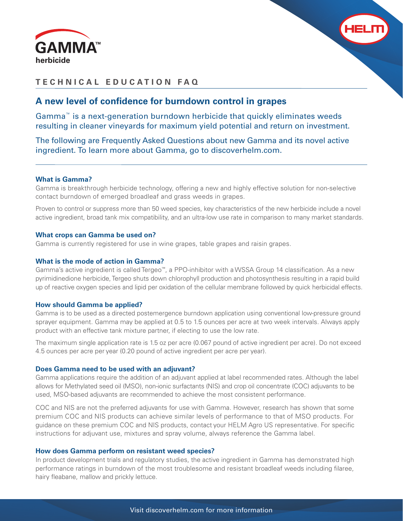



# **TECHNICAL EDUCATION FAQ**

# A new level of confidence for burndown control in grapes

Gamma™ is a next-generation burndown herbicide that quickly eliminates weeds resulting in cleaner vineyards for maximum yield potential and return on investment.

The following are Frequently Asked Questions about new Gamma and its novel active ingredient. To learn more about Gamma, go to discoverhelm.com.

# **What is Gamma?**

Gamma is breakthrough herbicide technology, offering a new and highly effective solution for non-selective contact burndown of emerged broadleaf and grass weeds in grapes.

Proven to control or suppress more than 50 weed species, key characteristics of the new herbicide include a novel active ingredient, broad tank mix compatibility, and an ultra-low use rate in comparison to many market standards.

### **What crops can Gamma be used on?**

Gamma is currently registered for use in wine grapes, table grapes and raisin grapes.

### **What is the mode of action in Gamma?**

Gamma's active ingredient is called Tergeo™, a PPO-inhibitor with a WSSA Group 14 classification. As a new pyrimidinedione herbicide, Tergeo shuts down chlorophyll production and photosynthesis resulting in a rapid build up of reactive oxygen species and lipid per oxidation of the cellular membrane followed by quick herbicidal effects.

### **How should Gamma be applied?**

Gamma is to be used as a directed postemergence burndown application using conventional low-pressure ground sprayer equipment. Gamma may be applied at 0.5 to 1.5 ounces per acre at two week intervals. Always apply product with an effective tank mixture partner, if electing to use the low rate.

The maximum single application rate is 1.5 oz per acre (0.067 pound of active ingredient per acre). Do not exceed 4.5 ounces per acre per year (0.20 pound of active ingredient per acre per year).

### **Does Gamma need to be used with an adjuvant?**

Gamma applications require the addition of an adjuvant applied at label recommended rates. Although the label allows for Methylated seed oil (MSO), non-ionic surfactants (NIS) and crop oil concentrate (COC) adjuvants to be used, MSO-based adjuvants are recommended to achieve the most consistent performance.

COC and NIS are not the preferred adjuvants for use with Gamma. However, research has shown that some premium COC and NIS products can achieve similar levels of performance to that of MSO products. For guidance on these premium COC and NIS products, contact your HELM Agro US representative. For specific instructions for adjuvant use, mixtures and spray volume, always reference the Gamma label.

### **How does Gamma perform on resistant weed species?**

In product development trials and regulatory studies, the active ingredient in Gamma has demonstrated high performance ratings in burndown of the most troublesome and resistant broadleaf weeds including filaree, hairy fleabane, mallow and prickly lettuce.